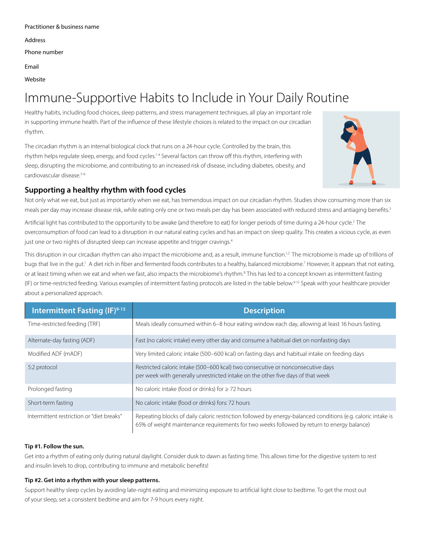Address

Phone number

Email

Website

# Immune-Supportive Habits to Include in Your Daily Routine

Healthy habits, including food choices, sleep patterns, and stress management techniques, all play an important role in supporting immune health. Part of the influence of these lifestyle choices is related to the impact on our circadian rhythm.

The circadian rhythm is an internal biological clock that runs on a 24-hour cycle. Controlled by the brain, this rhythm helps regulate sleep, energy, and food cycles.1-4 Several factors can throw off this rhythm, interfering with sleep, disrupting the microbiome, and contributing to an increased risk of disease, including diabetes, obesity, and cardiovascular disease.3-6



# **Supporting a healthy rhythm with food cycles**

Not only what we eat, but just as importantly when we eat, has tremendous impact on our circadian rhythm. Studies show consuming more than six meals per day may increase disease risk, while eating only one or two meals per day has been associated with reduced stress and antiaging benefits.<sup>5</sup>

Artificial light has contributed to the opportunity to be awake (and therefore to eat) for longer periods of time during a 24-hour cycle.2 The overconsumption of food can lead to a disruption in our natural eating cycles and has an impact on sleep quality. This creates a vicious cycle, as even just one or two nights of disrupted sleep can increase appetite and trigger cravings.<sup>4</sup>

This disruption in our circadian rhythm can also impact the microbiome and, as a result, immune function.<sup>1,2</sup> The microbiome is made up of trillions of bugs that live in the gut.<sup>1</sup> A diet rich in fiber and fermented foods contributes to a healthy, balanced microbiome.<sup>7</sup> However, it appears that not eating, or at least timing when we eat and when we fast, also impacts the microbiome's rhythm.<sup>8</sup> This has led to a concept known as intermittent fasting (IF) or time-restricted feeding. Various examples of intermittent fasting protocols are listed in the table below.<sup>9-15</sup> Speak with your healthcare provider about a personalized approach.

| <b>Intermittent Fasting (IF)</b> 9-15     | <b>Description</b>                                                                                                                                                                                         |
|-------------------------------------------|------------------------------------------------------------------------------------------------------------------------------------------------------------------------------------------------------------|
| Time-restricted feeding (TRF)             | Meals ideally consumed within 6–8 hour eating window each day, allowing at least 16 hours fasting.                                                                                                         |
| Alternate-day fasting (ADF)               | Fast (no caloric intake) every other day and consume a habitual diet on nonfasting days                                                                                                                    |
| Modified ADF (mADF)                       | Very limited caloric intake (500-600 kcal) on fasting days and habitual intake on feeding days                                                                                                             |
| 5:2 protocol                              | Restricted caloric intake (500-600 kcal) two consecutive or nonconsecutive days<br>per week with generally unrestricted intake on the other five days of that week                                         |
| Prolonged fasting                         | No caloric intake (food or drinks) for $\geq$ 72 hours                                                                                                                                                     |
| Short-term fasting                        | No caloric intake (food or drinks) for $\leq$ 72 hours                                                                                                                                                     |
| Intermittent restriction or "diet breaks" | Repeating blocks of daily caloric restriction followed by energy-balanced conditions (e.g. caloric intake is<br>65% of weight maintenance requirements for two weeks followed by return to energy balance) |

#### **Tip #1. Follow the sun.**

Get into a rhythm of eating only during natural daylight. Consider dusk to dawn as fasting time. This allows time for the digestive system to rest and insulin levels to drop, contributing to immune and metabolic benefits!

#### **Tip #2. Get into a rhythm with your sleep patterns.**

Support healthy sleep cycles by avoiding late-night eating and minimizing exposure to artificial light close to bedtime. To get the most out of your sleep, set a consistent bedtime and aim for 7-9 hours every night.